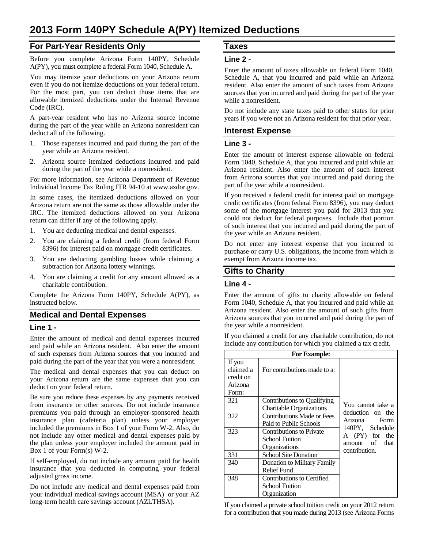### **For Part-Year Residents Only**

Before you complete Arizona Form 140PY, Schedule A(PY), you must complete a federal Form 1040, Schedule A.

You may itemize your deductions on your Arizona return even if you do not itemize deductions on your federal return. For the most part, you can deduct those items that are allowable itemized deductions under the Internal Revenue Code (IRC).

A part-year resident who has no Arizona source income during the part of the year while an Arizona nonresident can deduct all of the following.

- 1. Those expenses incurred and paid during the part of the year while an Arizona resident.
- 2. Arizona source itemized deductions incurred and paid during the part of the year while a nonresident.

For more information, see Arizona Department of Revenue Individual Income Tax Ruling ITR 94-10 at www.azdor.gov.

In some cases, the itemized deductions allowed on your Arizona return are not the same as those allowable under the IRC. The itemized deductions allowed on your Arizona return can differ if any of the following apply.

- 1. You are deducting medical and dental expenses.
- 2. You are claiming a federal credit (from federal Form 8396) for interest paid on mortgage credit certificates.
- 3. You are deducting gambling losses while claiming a subtraction for Arizona lottery winnings.
- 4. You are claiming a credit for any amount allowed as a charitable contribution.

Complete the Arizona Form 140PY, Schedule A(PY), as instructed below.

### **Medical and Dental Expenses**

#### **Line 1 -**

Enter the amount of medical and dental expenses incurred and paid while an Arizona resident. Also enter the amount of such expenses from Arizona sources that you incurred and paid during the part of the year that you were a nonresident.

The medical and dental expenses that you can deduct on your Arizona return are the same expenses that you can deduct on your federal return.

Be sure you reduce these expenses by any payments received from insurance or other sources. Do not include insurance premiums you paid through an employer-sponsored health insurance plan (cafeteria plan) unless your employer included the premiums in Box 1 of your Form W-2. Also, do not include any other medical and dental expenses paid by the plan unless your employer included the amount paid in Box 1 of your Form(s) W-2.

If self-employed, do not include any amount paid for health insurance that you deducted in computing your federal adjusted gross income.

Do not include any medical and dental expenses paid from your individual medical savings account (MSA) or your AZ long-term health care savings account (AZLTHSA).

# **Taxes**

#### **Line 2 -**

Enter the amount of taxes allowable on federal Form 1040, Schedule A, that you incurred and paid while an Arizona resident. Also enter the amount of such taxes from Arizona sources that you incurred and paid during the part of the year while a nonresident.

Do not include any state taxes paid to other states for prior years if you were not an Arizona resident for that prior year.

## **Interest Expense**

#### **Line 3 -**

Enter the amount of interest expense allowable on federal Form 1040, Schedule A, that you incurred and paid while an Arizona resident. Also enter the amount of such interest from Arizona sources that you incurred and paid during the part of the year while a nonresident.

If you received a federal credit for interest paid on mortgage credit certificates (from federal Form 8396), you may deduct some of the mortgage interest you paid for 2013 that you could not deduct for federal purposes. Include that portion of such interest that you incurred and paid during the part of the year while an Arizona resident.

Do not enter any interest expense that you incurred to purchase or carry U.S. obligations, the income from which is exempt from Arizona income tax.

### **Gifts to Charity**

### **Line 4 -**

Enter the amount of gifts to charity allowable on federal Form 1040, Schedule A, that you incurred and paid while an Arizona resident. Also enter the amount of such gifts from Arizona sources that you incurred and paid during the part of the year while a nonresident.

If you claimed a credit for any charitable contribution, do not include any contribution for which you claimed a tax credit.

| <b>For Example:</b>                                  |                                                                           |                                                                                                                 |
|------------------------------------------------------|---------------------------------------------------------------------------|-----------------------------------------------------------------------------------------------------------------|
| If you<br>claimed a<br>credit on<br>Arizona<br>Form: | For contributions made to a:                                              |                                                                                                                 |
| 321                                                  | Contributions to Qualifying<br><b>Charitable Organizations</b>            | You cannot take a<br>deduction on the<br>Arizona Form<br>140PY, Schedule<br>A (PY) for the<br>amount of<br>that |
| 322                                                  | <b>Contributions Made or Fees</b><br>Paid to Public Schools               |                                                                                                                 |
| 323                                                  | <b>Contributions to Private</b><br><b>School Tuition</b><br>Organizations |                                                                                                                 |
| 331                                                  | <b>School Site Donation</b>                                               | contribution.                                                                                                   |
| 340                                                  | Donation to Military Family<br><b>Relief Fund</b>                         |                                                                                                                 |
| 348                                                  | Contributions to Certified<br><b>School Tuition</b><br>Organization       |                                                                                                                 |

If you claimed a private school tuition credit on your 2012 return for a contribution that you made during 2013 (see Arizona Forms